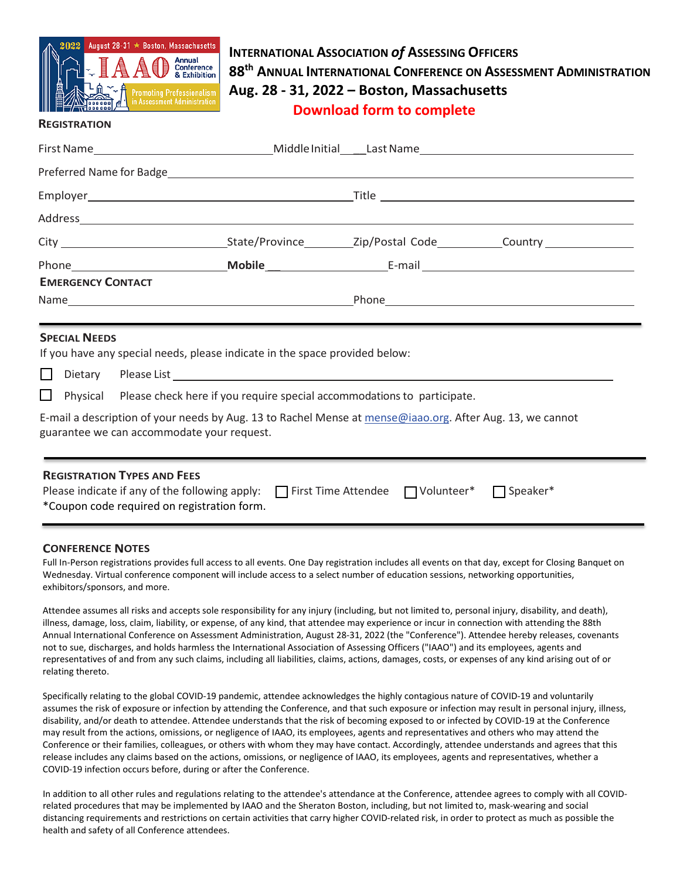

## **INTERNATIONAL ASSOCIATION** *of* **ASSESSING OFFICERS 88th ANNUAL INTERNATIONAL CONFERENCE ON ASSESSMENT ADMINISTRATION Aug. 28 - 31, 2022 – Boston, Massachusetts Download form to complete**

## **REGISTRATION**

| <b>EMERGENCY CONTACT</b>                                                                                                                                |                                                                                         |  |  |  |  |  |  |
|---------------------------------------------------------------------------------------------------------------------------------------------------------|-----------------------------------------------------------------------------------------|--|--|--|--|--|--|
|                                                                                                                                                         |                                                                                         |  |  |  |  |  |  |
|                                                                                                                                                         |                                                                                         |  |  |  |  |  |  |
| <b>SPECIAL NEEDS</b>                                                                                                                                    |                                                                                         |  |  |  |  |  |  |
| If you have any special needs, please indicate in the space provided below:                                                                             |                                                                                         |  |  |  |  |  |  |
|                                                                                                                                                         |                                                                                         |  |  |  |  |  |  |
|                                                                                                                                                         | $\Box$ Physical Please check here if you require special accommodations to participate. |  |  |  |  |  |  |
| E-mail a description of your needs by Aug. 13 to Rachel Mense at mense@iaao.org. After Aug. 13, we cannot<br>guarantee we can accommodate your request. |                                                                                         |  |  |  |  |  |  |
|                                                                                                                                                         |                                                                                         |  |  |  |  |  |  |
|                                                                                                                                                         |                                                                                         |  |  |  |  |  |  |
| <b>REGISTRATION TYPES AND FEES</b>                                                                                                                      |                                                                                         |  |  |  |  |  |  |
| Please indicate if any of the following apply: $\Box$ First Time Attendee $\Box$ Volunteer* $\Box$ Speaker*                                             |                                                                                         |  |  |  |  |  |  |
| *Coupon code required on registration form.                                                                                                             |                                                                                         |  |  |  |  |  |  |

## **CONFERENCE NOTES**

Full In-Person registrations provides full access to all events. One Day registration includes all events on that day, except for Closing Banquet on Wednesday. Virtual conference component will include access to a select number of education sessions, networking opportunities, exhibitors/sponsors, and more.

Attendee assumes all risks and accepts sole responsibility for any injury (including, but not limited to, personal injury, disability, and death), illness, damage, loss, claim, liability, or expense, of any kind, that attendee may experience or incur in connection with attending the 88th Annual International Conference on Assessment Administration, August 28-31, 2022 (the "Conference"). Attendee hereby releases, covenants not to sue, discharges, and holds harmless the International Association of Assessing Officers ("IAAO") and its employees, agents and representatives of and from any such claims, including all liabilities, claims, actions, damages, costs, or expenses of any kind arising out of or relating thereto.

Specifically relating to the global COVID-19 pandemic, attendee acknowledges the highly contagious nature of COVID-19 and voluntarily assumes the risk of exposure or infection by attending the Conference, and that such exposure or infection may result in personal injury, illness, disability, and/or death to attendee. Attendee understands that the risk of becoming exposed to or infected by COVID-19 at the Conference may result from the actions, omissions, or negligence of IAAO, its employees, agents and representatives and others who may attend the Conference or their families, colleagues, or others with whom they may have contact. Accordingly, attendee understands and agrees that this release includes any claims based on the actions, omissions, or negligence of IAAO, its employees, agents and representatives, whether a COVID-19 infection occurs before, during or after the Conference.

In addition to all other rules and regulations relating to the attendee's attendance at the Conference, attendee agrees to comply with all COVIDrelated procedures that may be implemented by IAAO and the Sheraton Boston, including, but not limited to, mask-wearing and social distancing requirements and restrictions on certain activities that carry higher COVID-related risk, in order to protect as much as possible the health and safety of all Conference attendees.